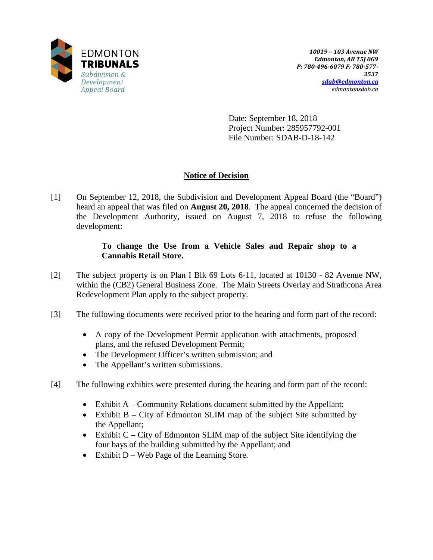

Date: September 18, 2018 Project Number: 285957792-001 File Number: SDAB-D-18-142

# **Notice of Decision**

[1] On September 12, 2018, the Subdivision and Development Appeal Board (the "Board") heard an appeal that was filed on **August 20, 2018**. The appeal concerned the decision of the Development Authority, issued on August 7, 2018 to refuse the following development:

# **To change the Use from a Vehicle Sales and Repair shop to a Cannabis Retail Store.**

- [2] The subject property is on Plan I Blk 69 Lots 6-11, located at 10130 82 Avenue NW, within the (CB2) General Business Zone. The Main Streets Overlay and Strathcona Area Redevelopment Plan apply to the subject property.
- [3] The following documents were received prior to the hearing and form part of the record:
	- A copy of the Development Permit application with attachments, proposed plans, and the refused Development Permit;
	- The Development Officer's written submission; and
	- The Appellant's written submissions.
- [4] The following exhibits were presented during the hearing and form part of the record:
	- Exhibit A Community Relations document submitted by the Appellant;
	- Exhibit B City of Edmonton SLIM map of the subject Site submitted by the Appellant;
	- Exhibit C City of Edmonton SLIM map of the subject Site identifying the four bays of the building submitted by the Appellant; and
	- Exhibit D Web Page of the Learning Store.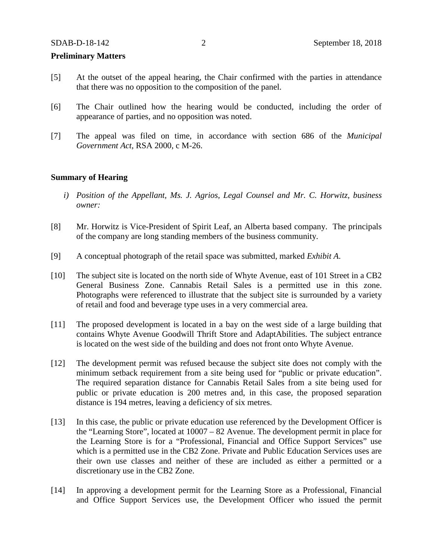### **Preliminary Matters**

- [5] At the outset of the appeal hearing, the Chair confirmed with the parties in attendance that there was no opposition to the composition of the panel.
- [6] The Chair outlined how the hearing would be conducted, including the order of appearance of parties, and no opposition was noted.
- [7] The appeal was filed on time, in accordance with section 686 of the *Municipal Government Act*, RSA 2000, c M-26.

### **Summary of Hearing**

- *i) Position of the Appellant, Ms. J. Agrios, Legal Counsel and Mr. C. Horwitz, business owner:*
- [8] Mr. Horwitz is Vice-President of Spirit Leaf, an Alberta based company. The principals of the company are long standing members of the business community.
- [9] A conceptual photograph of the retail space was submitted, marked *Exhibit A*.
- [10] The subject site is located on the north side of Whyte Avenue, east of 101 Street in a CB2 General Business Zone. Cannabis Retail Sales is a permitted use in this zone. Photographs were referenced to illustrate that the subject site is surrounded by a variety of retail and food and beverage type uses in a very commercial area.
- [11] The proposed development is located in a bay on the west side of a large building that contains Whyte Avenue Goodwill Thrift Store and AdaptAbilities. The subject entrance is located on the west side of the building and does not front onto Whyte Avenue.
- [12] The development permit was refused because the subject site does not comply with the minimum setback requirement from a site being used for "public or private education". The required separation distance for Cannabis Retail Sales from a site being used for public or private education is 200 metres and, in this case, the proposed separation distance is 194 metres, leaving a deficiency of six metres.
- [13] In this case, the public or private education use referenced by the Development Officer is the "Learning Store", located at 10007 – 82 Avenue. The development permit in place for the Learning Store is for a "Professional, Financial and Office Support Services" use which is a permitted use in the CB2 Zone. Private and Public Education Services uses are their own use classes and neither of these are included as either a permitted or a discretionary use in the CB2 Zone.
- [14] In approving a development permit for the Learning Store as a Professional, Financial and Office Support Services use, the Development Officer who issued the permit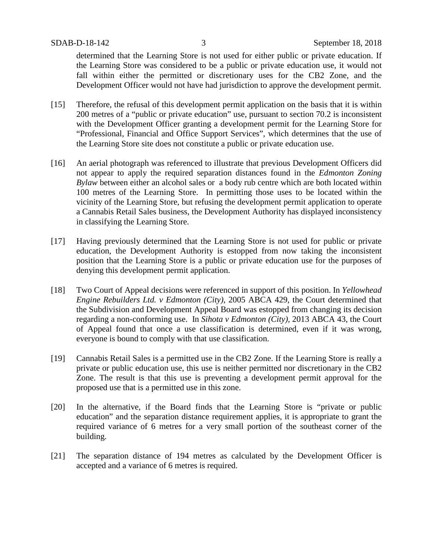determined that the Learning Store is not used for either public or private education. If the Learning Store was considered to be a public or private education use, it would not fall within either the permitted or discretionary uses for the CB2 Zone, and the Development Officer would not have had jurisdiction to approve the development permit.

- [15] Therefore, the refusal of this development permit application on the basis that it is within 200 metres of a "public or private education" use, pursuant to section 70.2 is inconsistent with the Development Officer granting a development permit for the Learning Store for "Professional, Financial and Office Support Services", which determines that the use of the Learning Store site does not constitute a public or private education use.
- [16] An aerial photograph was referenced to illustrate that previous Development Officers did not appear to apply the required separation distances found in the *Edmonton Zoning Bylaw* between either an alcohol sales or a body rub centre which are both located within 100 metres of the Learning Store. In permitting those uses to be located within the vicinity of the Learning Store, but refusing the development permit application to operate a Cannabis Retail Sales business, the Development Authority has displayed inconsistency in classifying the Learning Store.
- [17] Having previously determined that the Learning Store is not used for public or private education, the Development Authority is estopped from now taking the inconsistent position that the Learning Store is a public or private education use for the purposes of denying this development permit application.
- [18] Two Court of Appeal decisions were referenced in support of this position. In *Yellowhead Engine Rebuilders Ltd. v Edmonton (City)*, 2005 ABCA 429, the Court determined that the Subdivision and Development Appeal Board was estopped from changing its decision regarding a non-conforming use. In *Sihota v Edmonton (City),* 2013 ABCA 43, the Court of Appeal found that once a use classification is determined, even if it was wrong, everyone is bound to comply with that use classification.
- [19] Cannabis Retail Sales is a permitted use in the CB2 Zone. If the Learning Store is really a private or public education use, this use is neither permitted nor discretionary in the CB2 Zone. The result is that this use is preventing a development permit approval for the proposed use that is a permitted use in this zone.
- [20] In the alternative, if the Board finds that the Learning Store is "private or public education" and the separation distance requirement applies, it is appropriate to grant the required variance of 6 metres for a very small portion of the southeast corner of the building.
- [21] The separation distance of 194 metres as calculated by the Development Officer is accepted and a variance of 6 metres is required.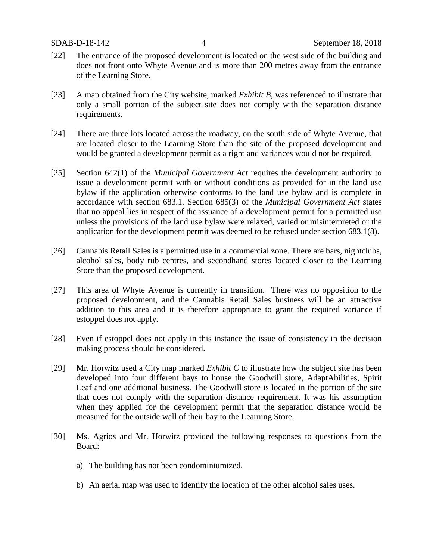- [22] The entrance of the proposed development is located on the west side of the building and does not front onto Whyte Avenue and is more than 200 metres away from the entrance of the Learning Store.
- [23] A map obtained from the City website, marked *Exhibit B*, was referenced to illustrate that only a small portion of the subject site does not comply with the separation distance requirements.
- [24] There are three lots located across the roadway, on the south side of Whyte Avenue, that are located closer to the Learning Store than the site of the proposed development and would be granted a development permit as a right and variances would not be required.
- [25] Section 642(1) of the *Municipal Government Act* requires the development authority to issue a development permit with or without conditions as provided for in the land use bylaw if the application otherwise conforms to the land use bylaw and is complete in accordance with section 683.1. Section 685(3) of the *Municipal Government Act* states that no appeal lies in respect of the issuance of a development permit for a permitted use unless the provisions of the land use bylaw were relaxed, varied or misinterpreted or the application for the development permit was deemed to be refused under section 683.1(8).
- [26] Cannabis Retail Sales is a permitted use in a commercial zone. There are bars, nightclubs, alcohol sales, body rub centres, and secondhand stores located closer to the Learning Store than the proposed development.
- [27] This area of Whyte Avenue is currently in transition. There was no opposition to the proposed development, and the Cannabis Retail Sales business will be an attractive addition to this area and it is therefore appropriate to grant the required variance if estoppel does not apply.
- [28] Even if estoppel does not apply in this instance the issue of consistency in the decision making process should be considered.
- [29] Mr. Horwitz used a City map marked *Exhibit C* to illustrate how the subject site has been developed into four different bays to house the Goodwill store, AdaptAbilities, Spirit Leaf and one additional business. The Goodwill store is located in the portion of the site that does not comply with the separation distance requirement. It was his assumption when they applied for the development permit that the separation distance would be measured for the outside wall of their bay to the Learning Store.
- [30] Ms. Agrios and Mr. Horwitz provided the following responses to questions from the Board:
	- a) The building has not been condominiumized.
	- b) An aerial map was used to identify the location of the other alcohol sales uses.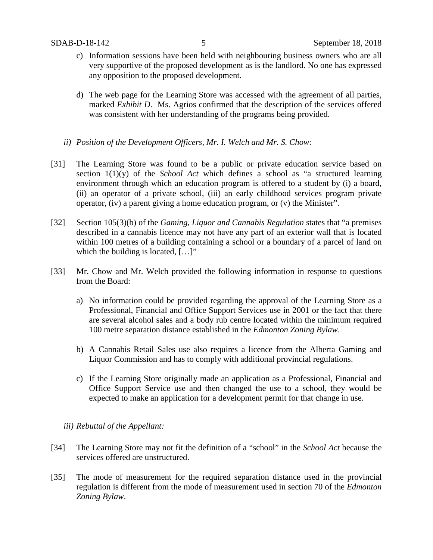- c) Information sessions have been held with neighbouring business owners who are all very supportive of the proposed development as is the landlord. No one has expressed any opposition to the proposed development.
- d) The web page for the Learning Store was accessed with the agreement of all parties, marked *Exhibit D*. Ms. Agrios confirmed that the description of the services offered was consistent with her understanding of the programs being provided.
- *ii) Position of the Development Officers, Mr. I. Welch and Mr. S. Chow:*
- [31] The Learning Store was found to be a public or private education service based on section 1(1)(y) of the *School Act* which defines a school as "a structured learning environment through which an education program is offered to a student by (i) a board, (ii) an operator of a private school, (iii) an early childhood services program private operator, (iv) a parent giving a home education program, or (v) the Minister".
- [32] Section 105(3)(b) of the *Gaming, Liquor and Cannabis Regulation* states that "a premises described in a cannabis licence may not have any part of an exterior wall that is located within 100 metres of a building containing a school or a boundary of a parcel of land on which the building is located, [...]"
- [33] Mr. Chow and Mr. Welch provided the following information in response to questions from the Board:
	- a) No information could be provided regarding the approval of the Learning Store as a Professional, Financial and Office Support Services use in 2001 or the fact that there are several alcohol sales and a body rub centre located within the minimum required 100 metre separation distance established in the *Edmonton Zoning Bylaw*.
	- b) A Cannabis Retail Sales use also requires a licence from the Alberta Gaming and Liquor Commission and has to comply with additional provincial regulations.
	- c) If the Learning Store originally made an application as a Professional, Financial and Office Support Service use and then changed the use to a school, they would be expected to make an application for a development permit for that change in use.

## *iii) Rebuttal of the Appellant:*

- [34] The Learning Store may not fit the definition of a "school" in the *School Act* because the services offered are unstructured.
- [35] The mode of measurement for the required separation distance used in the provincial regulation is different from the mode of measurement used in section 70 of the *Edmonton Zoning Bylaw*.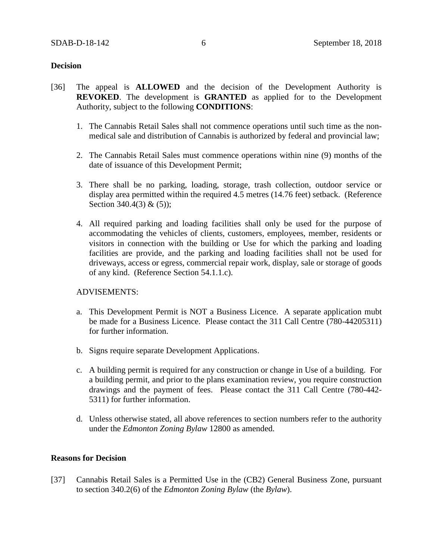## **Decision**

- [36] The appeal is **ALLOWED** and the decision of the Development Authority is **REVOKED**. The development is **GRANTED** as applied for to the Development Authority, subject to the following **CONDITIONS**:
	- 1. The Cannabis Retail Sales shall not commence operations until such time as the nonmedical sale and distribution of Cannabis is authorized by federal and provincial law;
	- 2. The Cannabis Retail Sales must commence operations within nine (9) months of the date of issuance of this Development Permit;
	- 3. There shall be no parking, loading, storage, trash collection, outdoor service or display area permitted within the required 4.5 metres (14.76 feet) setback. (Reference Section 340.4(3) & (5));
	- 4. All required parking and loading facilities shall only be used for the purpose of accommodating the vehicles of clients, customers, employees, member, residents or visitors in connection with the building or Use for which the parking and loading facilities are provide, and the parking and loading facilities shall not be used for driveways, access or egress, commercial repair work, display, sale or storage of goods of any kind. (Reference Section 54.1.1.c).

## ADVISEMENTS:

- a. This Development Permit is NOT a Business Licence. A separate application mubt be made for a Business Licence. Please contact the 311 Call Centre (780-44205311) for further information.
- b. Signs require separate Development Applications.
- c. A building permit is required for any construction or change in Use of a building. For a building permit, and prior to the plans examination review, you require construction drawings and the payment of fees. Please contact the 311 Call Centre (780-442- 5311) for further information.
- d. Unless otherwise stated, all above references to section numbers refer to the authority under the *Edmonton Zoning Bylaw* 12800 as amended.

## **Reasons for Decision**

[37] Cannabis Retail Sales is a Permitted Use in the (CB2) General Business Zone, pursuant to section 340.2(6) of the *Edmonton Zoning Bylaw* (the *Bylaw*).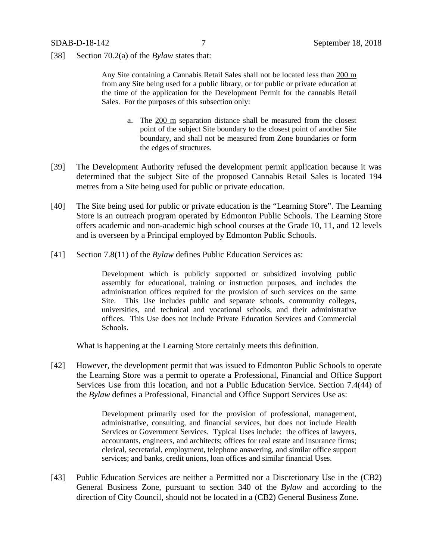[38] Section 70.2(a) of the *Bylaw* states that:

Any Site containing a Cannabis Retail Sales shall not be located less than 200 m from any Site being used for a public library, or for public or private education at the time of the application for the Development Permit for the cannabis Retail Sales. For the purposes of this subsection only:

- a. The 200 m separation distance shall be measured from the closest point of the subject Site boundary to the closest point of another Site boundary, and shall not be measured from Zone boundaries or form the edges of structures.
- [39] The Development Authority refused the development permit application because it was determined that the subject Site of the proposed Cannabis Retail Sales is located 194 metres from a Site being used for public or private education.
- [40] The Site being used for public or private education is the "Learning Store". The Learning Store is an outreach program operated by Edmonton Public Schools. The Learning Store offers academic and non-academic high school courses at the Grade 10, 11, and 12 levels and is overseen by a Principal employed by Edmonton Public Schools.
- [41] Section 7.8(11) of the *Bylaw* defines Public Education Services as:

Development which is publicly supported or subsidized involving public assembly for educational, training or instruction purposes, and includes the administration offices required for the provision of such services on the same Site. This Use includes public and separate schools, community colleges, universities, and technical and vocational schools, and their administrative offices. This Use does not include Private Education Services and Commercial Schools.

What is happening at the Learning Store certainly meets this definition.

[42] However, the development permit that was issued to Edmonton Public Schools to operate the Learning Store was a permit to operate a Professional, Financial and Office Support Services Use from this location, and not a Public Education Service. Section 7.4(44) of the *Bylaw* defines a Professional, Financial and Office Support Services Use as:

> Development primarily used for the provision of professional, management, administrative, consulting, and financial services, but does not include Health Services or Government Services. Typical Uses include: the offices of lawyers, accountants, engineers, and architects; offices for real estate and insurance firms; clerical, secretarial, employment, telephone answering, and similar office support services; and banks, credit unions, loan offices and similar financial Uses.

[43] Public Education Services are neither a Permitted nor a Discretionary Use in the (CB2) General Business Zone, pursuant to section 340 of the *Bylaw* and according to the direction of City Council, should not be located in a (CB2) General Business Zone.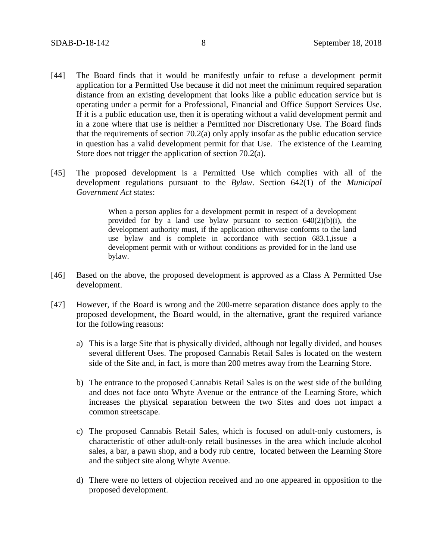- [44] The Board finds that it would be manifestly unfair to refuse a development permit application for a Permitted Use because it did not meet the minimum required separation distance from an existing development that looks like a public education service but is operating under a permit for a Professional, Financial and Office Support Services Use. If it is a public education use, then it is operating without a valid development permit and in a zone where that use is neither a Permitted nor Discretionary Use. The Board finds that the requirements of section 70.2(a) only apply insofar as the public education service in question has a valid development permit for that Use. The existence of the Learning Store does not trigger the application of section 70.2(a).
- [45] The proposed development is a Permitted Use which complies with all of the development regulations pursuant to the *Bylaw*. Section 642(1) of the *Municipal Government Act* states:

When a person applies for a development permit in respect of a development provided for by a land use bylaw pursuant to section  $640(2)(b)(i)$ , the development authority must, if the application otherwise conforms to the land use bylaw and is complete in accordance with section 683.1,issue a development permit with or without conditions as provided for in the land use bylaw.

- [46] Based on the above, the proposed development is approved as a Class A Permitted Use development.
- [47] However, if the Board is wrong and the 200-metre separation distance does apply to the proposed development, the Board would, in the alternative, grant the required variance for the following reasons:
	- a) This is a large Site that is physically divided, although not legally divided, and houses several different Uses. The proposed Cannabis Retail Sales is located on the western side of the Site and, in fact, is more than 200 metres away from the Learning Store.
	- b) The entrance to the proposed Cannabis Retail Sales is on the west side of the building and does not face onto Whyte Avenue or the entrance of the Learning Store, which increases the physical separation between the two Sites and does not impact a common streetscape.
	- c) The proposed Cannabis Retail Sales, which is focused on adult-only customers, is characteristic of other adult-only retail businesses in the area which include alcohol sales, a bar, a pawn shop, and a body rub centre, located between the Learning Store and the subject site along Whyte Avenue.
	- d) There were no letters of objection received and no one appeared in opposition to the proposed development.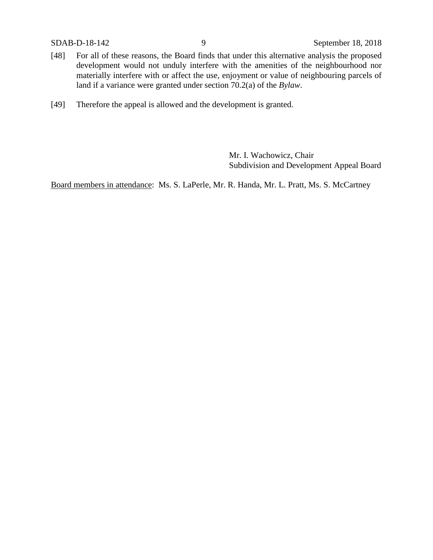- [48] For all of these reasons, the Board finds that under this alternative analysis the proposed development would not unduly interfere with the amenities of the neighbourhood nor materially interfere with or affect the use, enjoyment or value of neighbouring parcels of land if a variance were granted under section 70.2(a) of the *Bylaw*.
- [49] Therefore the appeal is allowed and the development is granted.

Mr. I. Wachowicz, Chair Subdivision and Development Appeal Board

Board members in attendance: Ms. S. LaPerle, Mr. R. Handa, Mr. L. Pratt, Ms. S. McCartney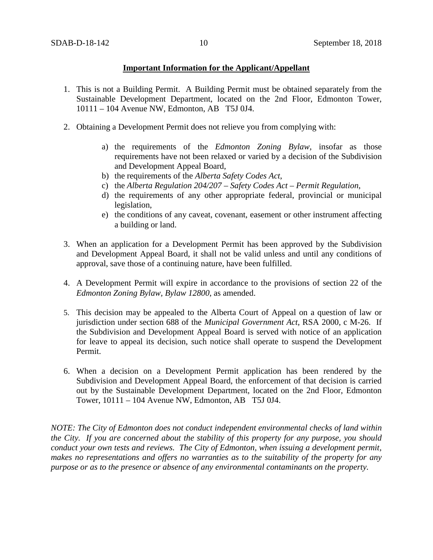# **Important Information for the Applicant/Appellant**

- 1. This is not a Building Permit. A Building Permit must be obtained separately from the Sustainable Development Department, located on the 2nd Floor, Edmonton Tower, 10111 – 104 Avenue NW, Edmonton, AB T5J 0J4.
- 2. Obtaining a Development Permit does not relieve you from complying with:
	- a) the requirements of the *Edmonton Zoning Bylaw*, insofar as those requirements have not been relaxed or varied by a decision of the Subdivision and Development Appeal Board,
	- b) the requirements of the *Alberta Safety Codes Act*,
	- c) the *Alberta Regulation 204/207 – Safety Codes Act – Permit Regulation*,
	- d) the requirements of any other appropriate federal, provincial or municipal legislation,
	- e) the conditions of any caveat, covenant, easement or other instrument affecting a building or land.
- 3. When an application for a Development Permit has been approved by the Subdivision and Development Appeal Board, it shall not be valid unless and until any conditions of approval, save those of a continuing nature, have been fulfilled.
- 4. A Development Permit will expire in accordance to the provisions of section 22 of the *Edmonton Zoning Bylaw, Bylaw 12800*, as amended.
- 5. This decision may be appealed to the Alberta Court of Appeal on a question of law or jurisdiction under section 688 of the *Municipal Government Act*, RSA 2000, c M-26. If the Subdivision and Development Appeal Board is served with notice of an application for leave to appeal its decision, such notice shall operate to suspend the Development Permit.
- 6. When a decision on a Development Permit application has been rendered by the Subdivision and Development Appeal Board, the enforcement of that decision is carried out by the Sustainable Development Department, located on the 2nd Floor, Edmonton Tower, 10111 – 104 Avenue NW, Edmonton, AB T5J 0J4.

*NOTE: The City of Edmonton does not conduct independent environmental checks of land within the City. If you are concerned about the stability of this property for any purpose, you should conduct your own tests and reviews. The City of Edmonton, when issuing a development permit, makes no representations and offers no warranties as to the suitability of the property for any purpose or as to the presence or absence of any environmental contaminants on the property.*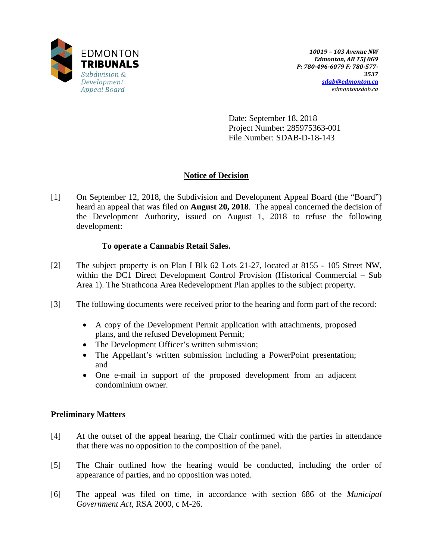

Date: September 18, 2018 Project Number: 285975363-001 File Number: SDAB-D-18-143

# **Notice of Decision**

[1] On September 12, 2018, the Subdivision and Development Appeal Board (the "Board") heard an appeal that was filed on **August 20, 2018**. The appeal concerned the decision of the Development Authority, issued on August 1, 2018 to refuse the following development:

# **To operate a Cannabis Retail Sales.**

- [2] The subject property is on Plan I Blk 62 Lots 21-27, located at 8155 105 Street NW, within the DC1 Direct Development Control Provision (Historical Commercial – Sub Area 1). The Strathcona Area Redevelopment Plan applies to the subject property.
- [3] The following documents were received prior to the hearing and form part of the record:
	- A copy of the Development Permit application with attachments, proposed plans, and the refused Development Permit;
	- The Development Officer's written submission;
	- The Appellant's written submission including a PowerPoint presentation; and
	- One e-mail in support of the proposed development from an adjacent condominium owner.

# **Preliminary Matters**

- [4] At the outset of the appeal hearing, the Chair confirmed with the parties in attendance that there was no opposition to the composition of the panel.
- [5] The Chair outlined how the hearing would be conducted, including the order of appearance of parties, and no opposition was noted.
- [6] The appeal was filed on time, in accordance with section 686 of the *Municipal Government Act*, RSA 2000, c M-26.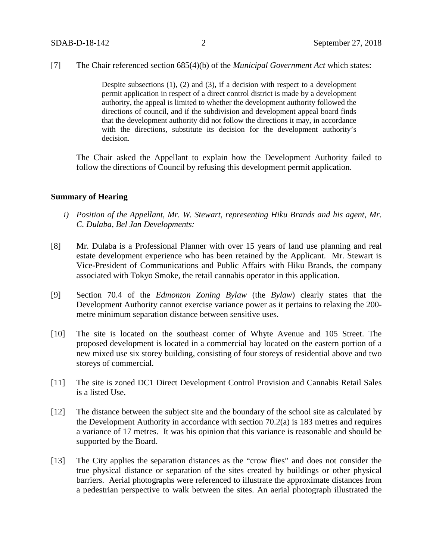[7] The Chair referenced section 685(4)(b) of the *Municipal Government Act* which states:

Despite subsections (1), (2) and (3), if a decision with respect to a development permit application in respect of a direct control district is made by a development authority, the appeal is limited to whether the development authority followed the directions of council, and if the subdivision and development appeal board finds that the development authority did not follow the directions it may, in accordance with the directions, substitute its decision for the development authority's decision.

The Chair asked the Appellant to explain how the Development Authority failed to follow the directions of Council by refusing this development permit application.

## **Summary of Hearing**

- *i) Position of the Appellant, Mr. W. Stewart, representing Hiku Brands and his agent, Mr. C. Dulaba, Bel Jan Developments:*
- [8] Mr. Dulaba is a Professional Planner with over 15 years of land use planning and real estate development experience who has been retained by the Applicant. Mr. Stewart is Vice-President of Communications and Public Affairs with Hiku Brands, the company associated with Tokyo Smoke, the retail cannabis operator in this application.
- [9] Section 70.4 of the *Edmonton Zoning Bylaw* (the *Bylaw*) clearly states that the Development Authority cannot exercise variance power as it pertains to relaxing the 200 metre minimum separation distance between sensitive uses.
- [10] The site is located on the southeast corner of Whyte Avenue and 105 Street. The proposed development is located in a commercial bay located on the eastern portion of a new mixed use six storey building, consisting of four storeys of residential above and two storeys of commercial.
- [11] The site is zoned DC1 Direct Development Control Provision and Cannabis Retail Sales is a listed Use.
- [12] The distance between the subject site and the boundary of the school site as calculated by the Development Authority in accordance with section 70.2(a) is 183 metres and requires a variance of 17 metres. It was his opinion that this variance is reasonable and should be supported by the Board.
- [13] The City applies the separation distances as the "crow flies" and does not consider the true physical distance or separation of the sites created by buildings or other physical barriers. Aerial photographs were referenced to illustrate the approximate distances from a pedestrian perspective to walk between the sites. An aerial photograph illustrated the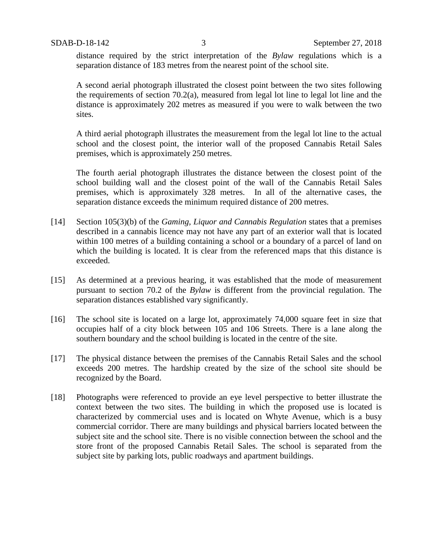distance required by the strict interpretation of the *Bylaw* regulations which is a separation distance of 183 metres from the nearest point of the school site.

A second aerial photograph illustrated the closest point between the two sites following the requirements of section 70.2(a), measured from legal lot line to legal lot line and the distance is approximately 202 metres as measured if you were to walk between the two sites.

A third aerial photograph illustrates the measurement from the legal lot line to the actual school and the closest point, the interior wall of the proposed Cannabis Retail Sales premises, which is approximately 250 metres.

The fourth aerial photograph illustrates the distance between the closest point of the school building wall and the closest point of the wall of the Cannabis Retail Sales premises, which is approximately 328 metres. In all of the alternative cases, the separation distance exceeds the minimum required distance of 200 metres.

- [14] Section 105(3)(b) of the *Gaming, Liquor and Cannabis Regulation* states that a premises described in a cannabis licence may not have any part of an exterior wall that is located within 100 metres of a building containing a school or a boundary of a parcel of land on which the building is located. It is clear from the referenced maps that this distance is exceeded.
- [15] As determined at a previous hearing, it was established that the mode of measurement pursuant to section 70.2 of the *Bylaw* is different from the provincial regulation. The separation distances established vary significantly.
- [16] The school site is located on a large lot, approximately 74,000 square feet in size that occupies half of a city block between 105 and 106 Streets. There is a lane along the southern boundary and the school building is located in the centre of the site.
- [17] The physical distance between the premises of the Cannabis Retail Sales and the school exceeds 200 metres. The hardship created by the size of the school site should be recognized by the Board.
- [18] Photographs were referenced to provide an eye level perspective to better illustrate the context between the two sites. The building in which the proposed use is located is characterized by commercial uses and is located on Whyte Avenue, which is a busy commercial corridor. There are many buildings and physical barriers located between the subject site and the school site. There is no visible connection between the school and the store front of the proposed Cannabis Retail Sales. The school is separated from the subject site by parking lots, public roadways and apartment buildings.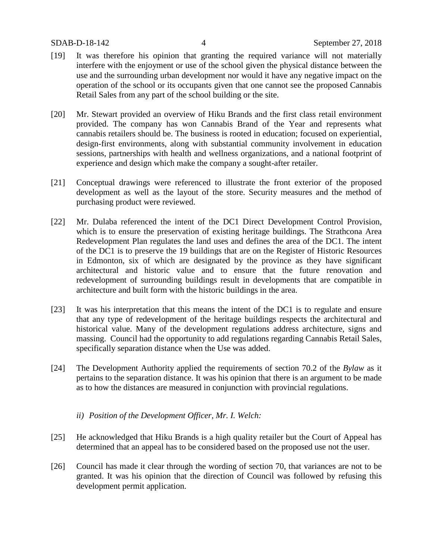- [19] It was therefore his opinion that granting the required variance will not materially interfere with the enjoyment or use of the school given the physical distance between the use and the surrounding urban development nor would it have any negative impact on the operation of the school or its occupants given that one cannot see the proposed Cannabis Retail Sales from any part of the school building or the site.
- [20] Mr. Stewart provided an overview of Hiku Brands and the first class retail environment provided. The company has won Cannabis Brand of the Year and represents what cannabis retailers should be. The business is rooted in education; focused on experiential, design-first environments, along with substantial community involvement in education sessions, partnerships with health and wellness organizations, and a national footprint of experience and design which make the company a sought-after retailer.
- [21] Conceptual drawings were referenced to illustrate the front exterior of the proposed development as well as the layout of the store. Security measures and the method of purchasing product were reviewed.
- [22] Mr. Dulaba referenced the intent of the DC1 Direct Development Control Provision, which is to ensure the preservation of existing heritage buildings. The Strathcona Area Redevelopment Plan regulates the land uses and defines the area of the DC1. The intent of the DC1 is to preserve the 19 buildings that are on the Register of Historic Resources in Edmonton, six of which are designated by the province as they have significant architectural and historic value and to ensure that the future renovation and redevelopment of surrounding buildings result in developments that are compatible in architecture and built form with the historic buildings in the area.
- [23] It was his interpretation that this means the intent of the DC1 is to regulate and ensure that any type of redevelopment of the heritage buildings respects the architectural and historical value. Many of the development regulations address architecture, signs and massing. Council had the opportunity to add regulations regarding Cannabis Retail Sales, specifically separation distance when the Use was added.
- [24] The Development Authority applied the requirements of section 70.2 of the *Bylaw* as it pertains to the separation distance. It was his opinion that there is an argument to be made as to how the distances are measured in conjunction with provincial regulations.
	- *ii) Position of the Development Officer, Mr. I. Welch:*
- [25] He acknowledged that Hiku Brands is a high quality retailer but the Court of Appeal has determined that an appeal has to be considered based on the proposed use not the user.
- [26] Council has made it clear through the wording of section 70, that variances are not to be granted. It was his opinion that the direction of Council was followed by refusing this development permit application.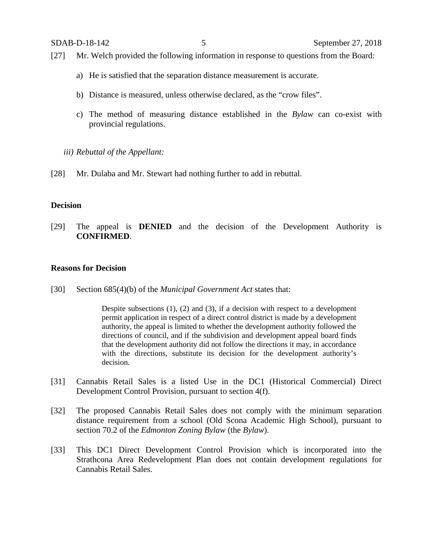- [27] Mr. Welch provided the following information in response to questions from the Board:
	- a) He is satisfied that the separation distance measurement is accurate.
	- b) Distance is measured, unless otherwise declared, as the "crow files".
	- c) The method of measuring distance established in the *Bylaw* can co-exist with provincial regulations.
	- *iii) Rebuttal of the Appellant:*
- [28] Mr. Dulaba and Mr. Stewart had nothing further to add in rebuttal.

## **Decision**

[29] The appeal is **DENIED** and the decision of the Development Authority is **CONFIRMED**.

## **Reasons for Decision**

[30] Section 685(4)(b) of the *Municipal Government Act* states that:

Despite subsections (1), (2) and (3), if a decision with respect to a development permit application in respect of a direct control district is made by a development authority, the appeal is limited to whether the development authority followed the directions of council, and if the subdivision and development appeal board finds that the development authority did not follow the directions it may, in accordance with the directions, substitute its decision for the development authority's decision.

- [31] Cannabis Retail Sales is a listed Use in the DC1 (Historical Commercial) Direct Development Control Provision, pursuant to section 4(f).
- [32] The proposed Cannabis Retail Sales does not comply with the minimum separation distance requirement from a school (Old Scona Academic High School), pursuant to section 70.2 of the *Edmonton Zoning Bylaw* (the *Bylaw*).
- [33] This DC1 Direct Development Control Provision which is incorporated into the Strathcona Area Redevelopment Plan does not contain development regulations for Cannabis Retail Sales.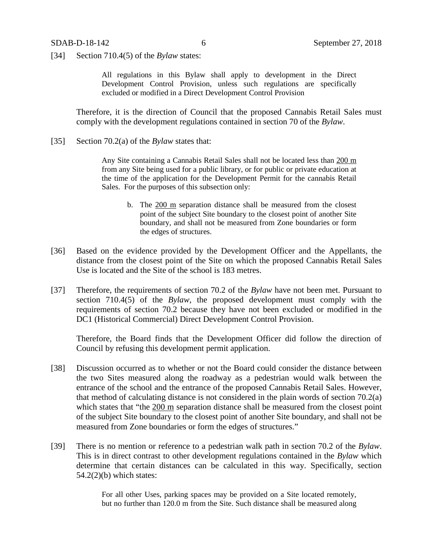[34] Section 710.4(5) of the *Bylaw* states:

All regulations in this Bylaw shall apply to development in the Direct Development Control Provision, unless such regulations are specifically excluded or modified in a Direct Development Control Provision

Therefore, it is the direction of Council that the proposed Cannabis Retail Sales must comply with the development regulations contained in section 70 of the *Bylaw*.

[35] Section 70.2(a) of the *Bylaw* states that:

Any Site containing a Cannabis Retail Sales shall not be located less than 200 m from any Site being used for a public library, or for public or private education at the time of the application for the Development Permit for the cannabis Retail Sales. For the purposes of this subsection only:

- b. The 200 m separation distance shall be measured from the closest point of the subject Site boundary to the closest point of another Site boundary, and shall not be measured from Zone boundaries or form the edges of structures.
- [36] Based on the evidence provided by the Development Officer and the Appellants, the distance from the closest point of the Site on which the proposed Cannabis Retail Sales Use is located and the Site of the school is 183 metres.
- [37] Therefore, the requirements of section 70.2 of the *Bylaw* have not been met. Pursuant to section 710.4(5) of the *Bylaw*, the proposed development must comply with the requirements of section 70.2 because they have not been excluded or modified in the DC1 (Historical Commercial) Direct Development Control Provision.

Therefore, the Board finds that the Development Officer did follow the direction of Council by refusing this development permit application.

- [38] Discussion occurred as to whether or not the Board could consider the distance between the two Sites measured along the roadway as a pedestrian would walk between the entrance of the school and the entrance of the proposed Cannabis Retail Sales. However, that method of calculating distance is not considered in the plain words of section 70.2(a) which states that "the 200 m separation distance shall be measured from the closest point of the subject Site boundary to the closest point of another Site boundary, and shall not be measured from Zone boundaries or form the edges of structures."
- [39] There is no mention or reference to a pedestrian walk path in section 70.2 of the *Bylaw*. This is in direct contrast to other development regulations contained in the *Bylaw* which determine that certain distances can be calculated in this way. Specifically, section  $54.2(2)$ (b) which states:

For all other Uses, parking spaces may be provided on a Site located remotely, but no further than 120.0 m from the Site. Such distance shall be measured along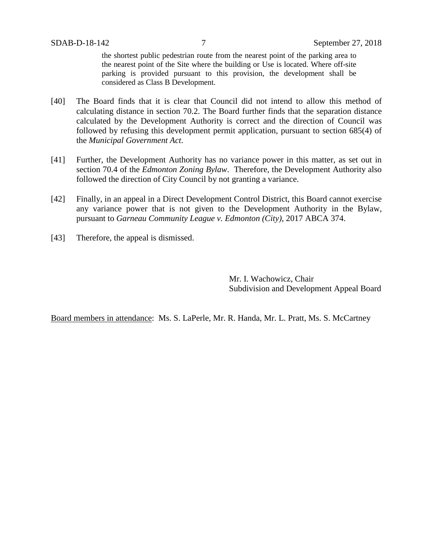the shortest public pedestrian route from the nearest point of the parking area to the nearest point of the Site where the building or Use is located. Where off-site parking is provided pursuant to this provision, the development shall be considered as Class B Development.

- [40] The Board finds that it is clear that Council did not intend to allow this method of calculating distance in section 70.2. The Board further finds that the separation distance calculated by the Development Authority is correct and the direction of Council was followed by refusing this development permit application, pursuant to section 685(4) of the *Municipal Government Act*.
- [41] Further, the Development Authority has no variance power in this matter, as set out in section 70.4 of the *Edmonton Zoning Bylaw*. Therefore, the Development Authority also followed the direction of City Council by not granting a variance.
- [42] Finally, in an appeal in a Direct Development Control District, this Board cannot exercise any variance power that is not given to the Development Authority in the Bylaw, pursuant to *Garneau Community League v. Edmonton (City)*, 2017 ABCA 374.
- [43] Therefore, the appeal is dismissed.

Mr. I. Wachowicz, Chair Subdivision and Development Appeal Board

Board members in attendance: Ms. S. LaPerle, Mr. R. Handa, Mr. L. Pratt, Ms. S. McCartney